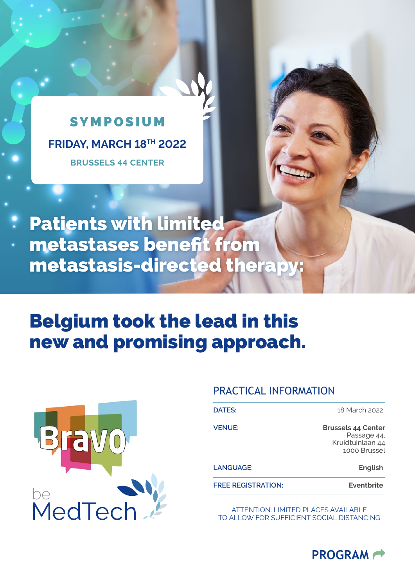## **SYMPOSIUM FRIDAY, MARCH 18TH 2022 BRUSSELS 44 CENTER**

# Patients with limited metastases benefit from metastasis-directed therapy:

# Belgium took the lead in this new and promising approach.



### PRACTICAL INFORMATION

| <b>DATES:</b>             | 18 March 2022                                                                |
|---------------------------|------------------------------------------------------------------------------|
| <b>VENUE:</b>             | <b>Brussels 44 Center</b><br>Passage 44,<br>Kruidtuinlaan 44<br>1000 Brussel |
| LANGUAGE:                 | <b>English</b>                                                               |
| <b>FREE REGISTRATION:</b> | Eventbrite                                                                   |

ATTENTION: LIMITED PLACES AVAILABLE TO ALLOW FOR SUFFICIENT SOCIAL DISTANCING